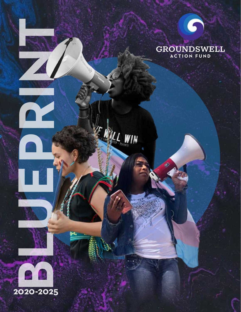



L WIN



**PRINT**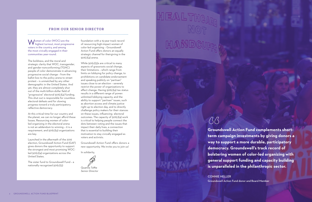Women of color (WOC) are the<br>highest turnout, most progressive voters in the country, and among the most civically engaged in their communities year-round.

CONNIE HELLER

The boldness, and the moral and strategic clarity that WOC, transgender, and gender-nonconforming (TGNC) people of color demonstrate in advancing progressive social change – from the ballot box to the policy arena to street protest – is unmatched by any other demographic in the United States. And yet, they are almost completely shut out of the multi-billion-dollar field of "progressive" electoral 501(c)(4) funding. This shut out is responsible for countless electoral defeats and for slowing progress toward a truly participatory, reflective democracy.

At this critical time for our country and the planet, we can no longer afford these losses. Resourcing women of colorled organizing in the electoral arena is not an addendum to winning – it is a requirement, and 501(c)(4) organizations are key.

Launched in the aftermath of the 2016 election, Groundswell Action Fund (GAF) gives donors the opportunity to support the strongest and most promising WOCled 501(c)(4) organizations across the United States.

The sister fund to Groundswell Fund – a nationally recognized 501(c)(3)

foundation with a 15-year track record of resourcing high-impact women of color-led organizing – Groundswell Action Fund offers donors an equally strategic channel for theirgiving in the 501(c)(4) arena.

While 501(c)(3)s are critical to many aspects of grassroots social change, their limitations – which range from limits on lobbying for policy change, to prohibitions on candidate endorsement and speaking publicly on "partisan" issues close to an election – severely restrict the power of organizations to effect change. Having 501(c)(4) tax status results in a different range of power: unlimited lobbying capacity, and the ability to support "partisan" issues, such as abortion access and climate justice right up to election day, and to directly challenge policy makers for their stances on these issues, influencing electoral outcomes. The capacity of 501(c)(4) work is critical to helping people connect the dots between voting and the issues that impact their daily lives, a connection that is essential to building their motivation to stay civically engaged as voters and activists.

Groundswell Action Fund offers donors a new opportunity. We invite you to join us!

In solidarity,



**Groundswell Action Fund complements shortterm campaign investments by giving donors a way to support a more durable, participatory democracy. Groundswell's track record of bolstering women of color-led organizing with general support funding and capacity building is unparalleled in the philanthropic sector.** Groundswell Action Fund comple<br>term campaign investments by gi<br>way to support a more durable, p<br>democracy. Groundswell's track r<br>bolstering women of color-led or<sub>!</sub><br>general support funding and cap;<br>is unparalleled in the p

#### FROM OUR SENIOR DIRECTOR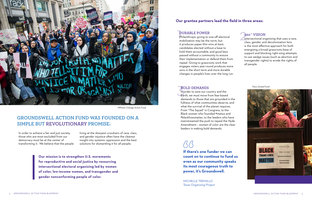Philanthropic giving to one-off electoral mobilization may be the norm, but it produces paper-thin wins at best: candidates elected without a base to hold them accountable, and good laws passed without a community to ensure their implementation or defend them from repeal. Giving to grassroots work that engages voters year-round produces more wins in the short term and more durable changes in people's lives over the long run. **DURABLE POWER**<br>Philanthropic giving to one-off electoral<br>mobilization may be the norm, but<br>cla

#### DURABLE POWER

### **Our grantee partners lead the field in three areas:**

In order to achieve a fair and just society, those who are most excluded from our democracy must be at the center of transforming it. We believe that the people living at the sharpest crosshairs of race, class, and gender injustice often have the clearest insight into systemic oppression and the best solutions for dismantling it for all people.

### GROUNDSWELL ACTION FUND WAS FOUNDED ON A SIMPLE BUT REVOLUTIONARY PROMISE:

**BOLD DEMANDS**<br>In order to save our country and the<br>Earth, we must move from fear-based In order to save our country and the demands to those that are grounded in the fullness of what communities deserve, and what the survival of the planet requires. From "The Squad" in Congress, to the Black women who founded #metoo and #blacklivesmatter, to the leaders who have mainstreamed the push to repeal the Hyde Amendment – women of color are the clear leaders in making bold demands.

**Our mission is to strengthen U.S. movements for reproductive and social justice by resourcing intersectional electoral organizing led by women of color, low-income women, and transgender and gender nonconforming people of color.**

**If there's one funder we can count on to continue to fund us even as our community speaks its most courageous truth to power, it's Groundswell.** 

MICHELLE TREMILLO Texas Organizing Project

## **"**

### 360˚ VISION

Intersectional organizing that uses a race, class, gender, and decolonization lens is the most effective approach for both energizing a broad grassroots base of support and blocking right-wing attempts to use wedge issues (such as abortion and transgender rights) to erode the rights of all people.

#### BOLD DEMANDS



MPower Change Action Fund

#### Trans United Fund

**TRANSVIOTED** TWEET & POST **TRANS LIVES** ctransunnerfund **#TransUnited** #Stonewall50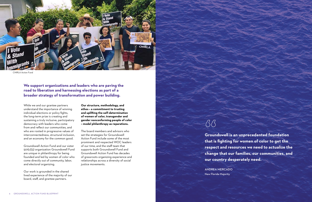While we and our grantee partners understand the importance of winning individual elections or policy fights, the long-term prize is creating and sustaining a truly inclusive, participatory democracy with leaders who come from and reflect our communities, and who are rooted in progressive values of interconnectedness, structural inclusion, and an economy for the common good.

Groundswell Action Fund and our sister 501(c)(3) organization Groundswell Fund are unique in philanthropy for being founded and led by women of color who come directly out of community, labor, and electoral organizing.

Our work is grounded in the shared lived experience of the majority of our board, staff, and grantee partners.

**Our structure, methodology, and ethos – a commitment to trusting and uplifting the self-determination of women of color, transgender and gender nonconforming people of color – model philanthropy as reparations.** 

The board members and advisors who set the strategies for Groundswell Action Fund include some of the most prominent and respected WOC leaders of our time, and the staff team that supports both Groundswell Fund and Groundswell Action Fund has decades of grassroots organizing experience and relationships across a diversity of social justice movements.

**We support organizations and leaders who are paving the road to liberation and harnessing elections as part of a broader strategy of transformation and power building.** 

> **Groundswell is an unprecedented foundation that is fighting for women of color to get the respect and resources we need to actualize the change that our families, our communities, and our country desperately need.**

ANDREA MERCADO New Florida Majority

## **"**



CHIRLA Action Fund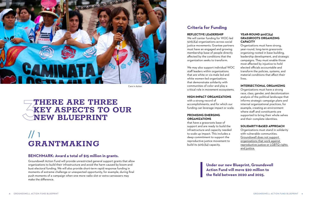## // 1 **GRANTMAKING**

#### **REFLECTIVE LEADERSHIP**

We will center funding for WOC-led 501(c)(4) organizations across social justice movements. Grantee partners must have an engaged and growing membership base of people directly affected by the conditions that the organization seeks to transform.

that have a grassroots base of support and are ready to build the infrastructure and capacity needed to scale up impact. This includes a deep commitment to support the reproductive justice movement to build its  $501(c)(4)$  capacity.

We may also support individual WOC staff leaders within organizations that are white or cis-male led and white women-led organizations that demonstrate solidarity with communities of color and play a critical role in movement ecosystems.

#### **HIGH-IMPACT ORGANIZATIONS**

with a strong record of accomplishments, and for which our funding can leverage impact or scale.

#### **PROMISING EMERGING ORGANIZATIONS**

## **1<br>○K**<br>○K **THERE ARE THREE KEY ASPECTS TO OUR NEW BLUEPRINT**

#### **YEAR-ROUND 501(C)(4) GRASSROOTS ORGANIZING CAPACITY**

Organizations must have strong, year-round, long-term grassroots organizing rooted in base building, leadership development, and strategic campaigns. They must enable those most affected by injustice to hold elected officials accountable and transform the policies, systems, and material conditions that affect their lives.

#### **INTERSECTIONAL ORGANIZING**

Organizations must have a strong race, class, gender, and decolonization analysis of the political landscape that informs strategic campaign plans and internal organizational practices, for example, creating an environment where staff and constituents are supported to bring their whole selves and their complete identities.

#### **SOLIDARITY-BASED APPROACH**

Organizations must stand in solidarity with vulnerable communities. Groundswell does not support organizations that work against reproductive justice or LGBTQ rights and justice.

#### **BENCHMARK: Award a total of \$15 million in grants.**

Groundswell Action Fund will provide unrestricted general support grants that allow organizations to build their infrastructure and avoid the harm caused by boom-andbust electoral funding. We will also provide short-term rapid response funding in moments of extreme challenge or unexpected opportunity, for example, during final push moments of a campaign when one more radio slot or extra canvassers may make the difference.

### **Criteria for Funding**

**Under our new Blueprint, Groundswell Action Fund will move \$20 million to the field between 2020 and 2025.** 



Care in Action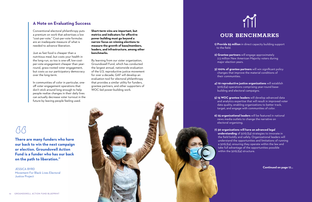Conventional electoral philanthropy puts a premium on work that advertises a low "cost-per-vote." Cost-per-vote formulas are an inadequate measure of what is needed to advance liberation.

Just as fast food is cheaper than a nutritious meal, but costs your health in the long-run, so too is one-off, low-costper-vote engagement cheaper than yearround, grass-rooted voter engagement, but costs us our participatory democracy over the long-term.

In communities of color in particular, oneoff voter engagement operations that don't stick around long enough to help people realize changes in their daily lives can actually decrease voter turnout in the future by leaving people feeling used.

**Short-term wins are important, but metrics and indicators for effective power building must go beyond a narrow focus on winning elections to measure the growth of base/members, leaders, and infrastructure, among other benchmarks.** 

By learning from our sister organization, Groundswell Fund, which has conducted the largest annual, nationwide evaluation of the U.S. reproductive justice movement for over a decade, GAF will develop an evaluation tool for electoral philanthropy that provides a similar utility for funders, grantee partners, and other supporters of WOC-led power-building work.



### **A Note on Evaluating Success**

### **OUR BENCHMARKS**

**1) Provide \$5 million** in direct capacity building support to the field.

**2) Grantee partners** will engage approximately 2.5 million New American Majority voters during major election years.

**3) 100% of grantee partners** will win significant policy changes that improve the material conditions of their communities.

**4) 10 reproductive justice organizations** will establish 501(c)(4) operations comprising year-round base building and electoral campaigns.

**5) 15 WOC grantee leaders** will develop advanced data and analytics expertise that will result in improved voter data quality, enabling organizations to better track, target, and engage with communities of color.

**6) 25 organizational leaders** will be featured in national news media outlets to change the narrative on electoral organizing.

**7) 30 organizations will have an advanced legal understanding** of 501(c)(4) strategies to innovate in the field boldly and safely. Organizational leaders will understand the opportunities and limitations of running a 501(c)(4), ensuring they operate within the law and take full advantage of the opportunities possible within the 501(c)(4) structure.

**There are many funders who have our back to win the next campaign or election. Groundswell Action Fund is a funder who has our back on the path to liberation."** 

JESSICA BYRD Movement For Black Lives Electoral Justice Project

## **"**

**Continued on page 17...**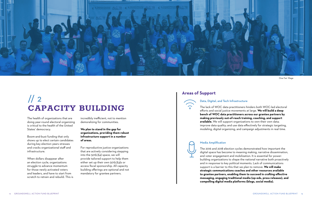

## $\frac{1}{2}$ **CAPACITY BUILDING**

The health of organizations that are doing year-round electoral organizing is critical to the health of the United States' democracy.

Boom-and-bust funding that only shows up to elect certain candidates during key election years stresses and cracks organizational staff and infrastructure.

When dollars disappear after an election cycle, organizations struggle to advance momentum for those newly activated voters and leaders, and have to start from scratch to retrain and rebuild. This is

incredibly inefficient, not to mention demoralizing for communities.

**We plan to stand in the gap for organizations, providing them robust infrastructure support in a number of areas.** 

For reproductive justice organizations that are actively considering stepping into the  $501(c)(4)$  space, we will provide tailored support to help them either set up their own 501(c)(4)s or access fiscal sponsorship. All capacity building offerings are optional and not mandatory for grantee partners.

### **Areas of Support**



#### Data, Digital, and Tech Infrastructure

The lack of WOC data practitioners hinders both WOC-led electoral efforts and social justice movements at large. **We will build a deep bench of WOC data practitioners across our grantee partners by making previously out-of-reach training, coaching, and support available.** We will support organizations to own their own data; improve data quality; and use data effectively for strategic targeting, modeling, digital organizing, and campaign adjustments in real time.

#### Media Amplification

The 2016 and 2018 election cycles demonstrated how important the digital space has become to meaning making, narrative dissemination, and voter engagement and mobilization. It is essential for powerbuilding organizations to shape the national narrative both proactively and in response to key political moments. Lack of communications support is a barrier to this that we plan to remove. **We will make strategic communications coaches and other resources available to grantee partners, enabling them to succeed in crafting effective messaging, engaging traditional media (op-eds, press releases), and compelling digital media platforms (blogs, social media).** 

One Fair Wage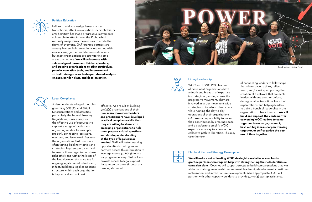#### Lifting Leadership

WOC and TGNC POC leaders of movement organizations have a depth and breadth of expertise in strategic organizing across the progressive movement. They are involved in larger movement-wide strategies to transform democracy while running the day-to-day operations of their organizations. GAF sees a responsibility to honor their contribution by creating space and a platform to amplify WOC expertise as a way to advance the collective path to liberation. This may take the form



of connecting leaders to fellowships that allow space to think, reflect, teach, and/or write; supporting the creation of a network that connects leaders with one another before, during, or after transitions from their organizations; and helping leaders to build a bench of leadership in the organization to back them up. **We will build and support the container for convening WOC leaders to come together to recharge, connect, hash out big ideas, sharpen thinking together, or self-organize the best use of time together.** 



#### Political Education

Failure to address wedge issues such as transphobia, attacks on abortion, Islamophobia, or anti-Semitism has made progressive movements vulnerable to attacks from the Right, which routinely weaponizes these issues to erode the rights of everyone. GAF grantee partners are already leaders in intersectional organizing with a race, class, gender, and decolonization lens, but most organizations are stronger in some areas than others. **We will collaborate with values-aligned movement thinkers, leaders, and training organizations to offer curriculum, popular education tools, and in-person and virtual training spaces to deepen shared analysis on race, gender, class, and decolonization.** 





#### Electoral Plan and Strategy Development

**We will make a set of leading WOC strategists available as coaches to grantee partners who request help with strengthening their electoral/issue campaign plans.** Coaches will support groups to build campaign plans that win while maximizing membership recruitment, leadership development, constituent mobilization, and infrastructure development. When appropriate, GAF will partner with other capacity builders to provide 501(c)(4) startup assistance.



#### Legal Compliance

A deep understanding of the rules governing 501(c)(3) and 501(c) (4) organizations and activities, particularly the federal Treasury Regulations, is necessary for the effective use of resources to support a range of tactics and organizing modes, for example, properly connecting legislative, electoral, and issue work. Because the organizations GAF funds are often testing bold new tactics and strategies, legal support is critical to ensure these organizations take risks safely and within the letter of the law. However, the price tag for ongoing legal counsel is hefty and, in fact, building a legal compliance structure within each organization is impractical and not cost

effective. As a result of building 501(c)(4) organizations of their own, **many movement leaders and practitioners have developed practical compliance skills that they are willing to share with emerging organizations to help them prepare critical questions and develop understanding of the type of legal counsel needed.** GAF will foster learning opportunities to help grantee partners access this information to leverage scarce 501(c)(4) dollars for program delivery. GAF will also provide access to legal support for grantee partners through our own legal counsel.

Black Voters Matter Fund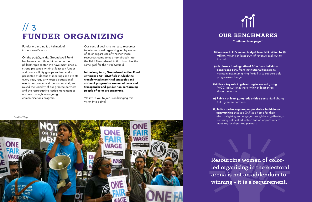Funder organizing is a hallmark of Groundswell's work.

On the 501(c)(3) side, Groundswell Fund has been a bold thought leader in the philanthropic sector. We have maintained a strong presence within at least ten funder and donor affinity groups and networks, presented at dozens of meetings and events every year, regularly hosted educational events for donors and foundation staff, and raised the visibility of our grantee partners and the reproductive justice movement as a whole through an ongoing communications program.

## // 3 **FUNDER ORGANIZING OUR BENCHMARKS**

Our central goal is to increase resources to intersectional organizing led by women of color, regardless of whether those resources come to us or go directly into the field. Groundswell Action Fund has the same goal for the 501(c)(4) field.

**In the long term, Groundswell Action Fund envisions a 501(c)(4) field in which the transformative political strategies and vision of progressive women of color and transgender and gender non-conforming people of color are supported.** 

We invite you to join us in bringing this vision into being!

One Fair Wage



Resourcing women of colorled organizing in the electoral arena is not an addendum to winning – it is a requirement.

# T

**Continued from page 11**

**8) Increase GAF's annual budget from \$1.5 million to \$5 million**, moving at least 80% of revenue back out to

the field.

**9) Achieve a funding ratio of 80% from individual donors and 20% from institutional funders** to maintain maximum giving flexibility to support bold progressive change.

**10) Play a key role in galvanizing increased giving** to WOC-led 501(c)(4) work within at least three donor networks.

**11) Publish at least 50 op-eds or blog posts** highlighting GAF grantee partners.

**12) In five metro, regions, and/or states, build donor communities** that see GAF as a home for their electoral giving and engage through local gatherings featuring political education and an opportunity to meet key local grantee partners.